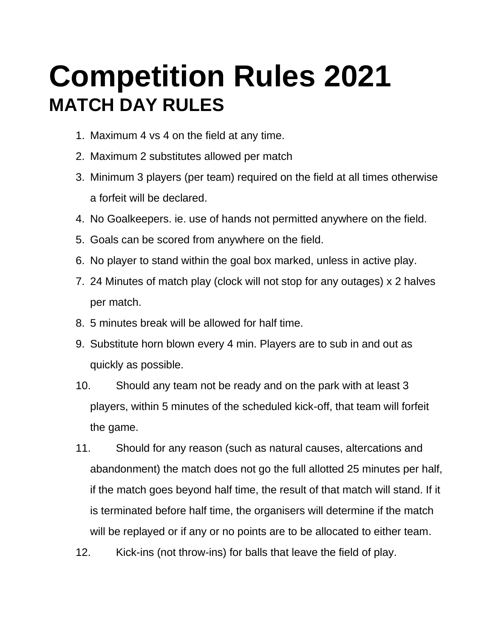# **Competition Rules 2021 MATCH DAY RULES**

- 1. Maximum 4 vs 4 on the field at any time.
- 2. Maximum 2 substitutes allowed per match
- 3. Minimum 3 players (per team) required on the field at all times otherwise a forfeit will be declared.
- 4. No Goalkeepers. ie. use of hands not permitted anywhere on the field.
- 5. Goals can be scored from anywhere on the field.
- 6. No player to stand within the goal box marked, unless in active play.
- 7. 24 Minutes of match play (clock will not stop for any outages) x 2 halves per match.
- 8. 5 minutes break will be allowed for half time.
- 9. Substitute horn blown every 4 min. Players are to sub in and out as quickly as possible.
- 10. Should any team not be ready and on the park with at least 3 players, within 5 minutes of the scheduled kick-off, that team will forfeit the game.
- 11. Should for any reason (such as natural causes, altercations and abandonment) the match does not go the full allotted 25 minutes per half, if the match goes beyond half time, the result of that match will stand. If it is terminated before half time, the organisers will determine if the match will be replayed or if any or no points are to be allocated to either team.
- 12. Kick-ins (not throw-ins) for balls that leave the field of play.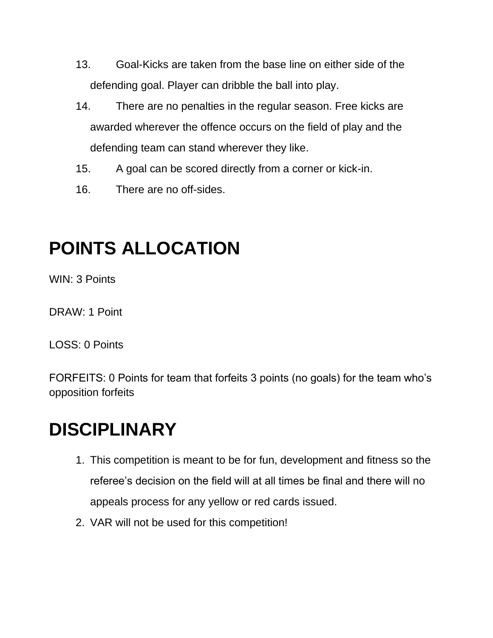- 13. Goal-Kicks are taken from the base line on either side of the defending goal. Player can dribble the ball into play.
- 14. There are no penalties in the regular season. Free kicks are awarded wherever the offence occurs on the field of play and the defending team can stand wherever they like.
- 15. A goal can be scored directly from a corner or kick-in.
- 16. There are no off-sides.

### **POINTS ALLOCATION**

WIN: 3 Points

DRAW: 1 Point

LOSS: 0 Points

FORFEITS: 0 Points for team that forfeits 3 points (no goals) for the team who's opposition forfeits

#### **DISCIPLINARY**

- 1. This competition is meant to be for fun, development and fitness so the referee's decision on the field will at all times be final and there will no appeals process for any yellow or red cards issued.
- 2. VAR will not be used for this competition!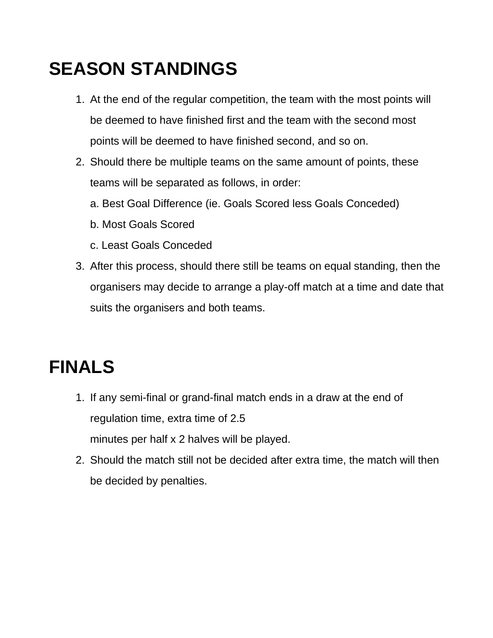### **SEASON STANDINGS**

- 1. At the end of the regular competition, the team with the most points will be deemed to have finished first and the team with the second most points will be deemed to have finished second, and so on.
- 2. Should there be multiple teams on the same amount of points, these teams will be separated as follows, in order:
	- a. Best Goal Difference (ie. Goals Scored less Goals Conceded)
	- b. Most Goals Scored
	- c. Least Goals Conceded
- 3. After this process, should there still be teams on equal standing, then the organisers may decide to arrange a play-off match at a time and date that suits the organisers and both teams.

# **FINALS**

- 1. If any semi-final or grand-final match ends in a draw at the end of regulation time, extra time of 2.5 minutes per half x 2 halves will be played.
- 2. Should the match still not be decided after extra time, the match will then be decided by penalties.